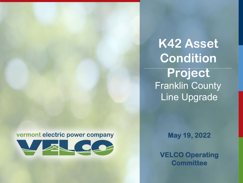#### vermont electric power company



**K42 Asset Condition Project** Franklin County Line Upgrade

**May 19, 2022**

**VELCO Operating Committee**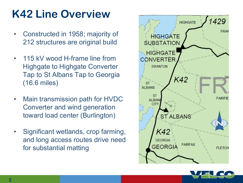# **K42 Line Overview**

- Constructed in 1958; majority of 212 structures are original build
- 115 kV wood H-frame line from Highgate to Highgate Converter Tap to St Albans Tap to Georgia (16.6 miles)
- Main transmission path for HVDC Converter and wind generation toward load center (Burlington)
- Significant wetlands, crop farming, and long access routes drive need for substantial matting



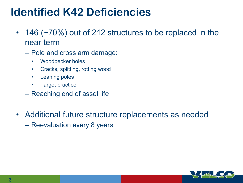### **Identified K42 Deficiencies**

- 146 (~70%) out of 212 structures to be replaced in the near term
	- Pole and cross arm damage:
		- Woodpecker holes
		- Cracks, splitting, rotting wood
		- Leaning poles
		- Target practice
	- Reaching end of asset life
- Additional future structure replacements as needed
	- Reevaluation every 8 years

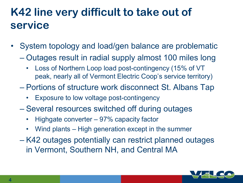# **K42 line very difficult to take out of service**

- System topology and load/gen balance are problematic
	- Outages result in radial supply almost 100 miles long
		- Loss of Northern Loop load post-contingency (15% of VT peak, nearly all of Vermont Electric Coop's service territory)
	- Portions of structure work disconnect St. Albans Tap
		- Exposure to low voltage post-contingency
	- Several resources switched off during outages
		- Highgate converter 97% capacity factor
		- Wind plants High generation except in the summer
	- K42 outages potentially can restrict planned outages in Vermont, Southern NH, and Central MA

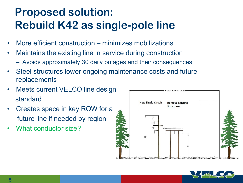# **Proposed solution: Rebuild K42 as single-pole line**

- More efficient construction minimizes mobilizations
- Maintains the existing line in service during construction
	- Avoids approximately 30 daily outages and their consequences
- Steel structures lower ongoing maintenance costs and future replacements
- Meets current VELCO line design standard
- Creates space in key ROW for a future line if needed by region
- What conductor size?



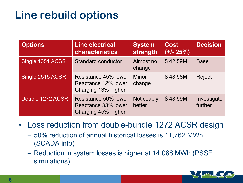# **Line rebuild options**

| <b>Options</b>   | <b>Line electrical</b><br><b>characteristics</b>                   | <b>System</b><br>strength | <b>Cost</b><br>$(+/- 25%)$ | <b>Decision</b>        |
|------------------|--------------------------------------------------------------------|---------------------------|----------------------------|------------------------|
| Single 1351 ACSS | <b>Standard conductor</b>                                          | Almost no<br>change       | \$42.59M                   | <b>Base</b>            |
| Single 2515 ACSR | Resistance 45% lower<br>Reactance 12% lower<br>Charging 13% higher | <b>Minor</b><br>change    | \$48.98M                   | <b>Reject</b>          |
| Double 1272 ACSR | Resistance 50% lower<br>Reactance 33% lower<br>Charging 45% higher | Noticeably<br>better      | \$48.99M                   | Investigate<br>further |

### • Loss reduction from double-bundle 1272 ACSR design

- 50% reduction of annual historical losses is 11,762 MWh (SCADA info)
- Reduction in system losses is higher at 14,068 MWh (PSSE simulations)

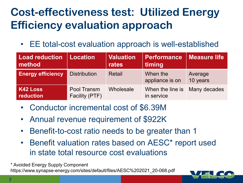# **Cost-effectiveness test: Utilized Energy Efficiency evaluation approach**

EE total-cost evaluation approach is well-established

| <b>Load reduction   Location</b><br>method |                               | <b>Valuation</b><br>rates | <b>Performance</b><br>timing                | <b>Measure life</b> |
|--------------------------------------------|-------------------------------|---------------------------|---------------------------------------------|---------------------|
| <b>Energy efficiency</b>                   | <b>Distribution</b>           | Retail                    | When the<br>appliance is on                 | Average<br>10 years |
| <b>K42 Loss</b><br>reduction               | Pool Transm<br>Facility (PTF) | Wholesale                 | When the line is Many decades<br>in service |                     |

- Conductor incremental cost of \$6.39M
- Annual revenue requirement of \$922K
- Benefit-to-cost ratio needs to be greater than 1
- Benefit valuation rates based on AESC\* report used in state total resource cost evaluations

\* Avoided Energy Supply Component

https://www.synapse-energy.com/sites/default/files/AESC%202021\_20-068.pdf

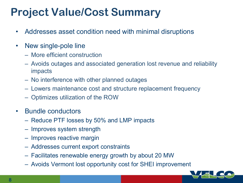### **Project Value/Cost Summary**

- Addresses asset condition need with minimal disruptions
- New single-pole line
	- More efficient construction
	- Avoids outages and associated generation lost revenue and reliability impacts
	- No interference with other planned outages
	- Lowers maintenance cost and structure replacement frequency
	- Optimizes utilization of the ROW
- Bundle conductors
	- Reduce PTF losses by 50% and LMP impacts
	- Improves system strength
	- Improves reactive margin
	- Addresses current export constraints
	- Facilitates renewable energy growth by about 20 MW
	- Avoids Vermont lost opportunity cost for SHEI improvement

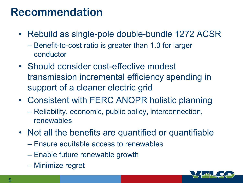### **Recommendation**

- Rebuild as single-pole double-bundle 1272 ACSR
	- Benefit-to-cost ratio is greater than 1.0 for larger conductor
- Should consider cost-effective modest transmission incremental efficiency spending in support of a cleaner electric grid
- Consistent with FERC ANOPR holistic planning
	- Reliability, economic, public policy, interconnection, renewables
- Not all the benefits are quantified or quantifiable
	- Ensure equitable access to renewables
	- Enable future renewable growth
	- Minimize regret